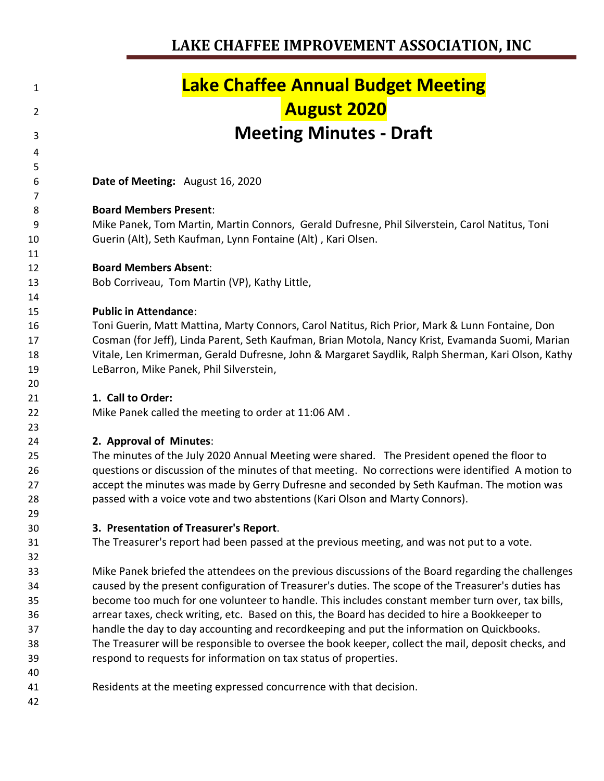#### **Lake Chaffee Annual Budget Meeting August 2020 Meeting Minutes - Draft Date of Meeting:** August 16, 2020 **Board Members Present**: Mike Panek, Tom Martin, Martin Connors, Gerald Dufresne, Phil Silverstein, Carol Natitus, Toni Guerin (Alt), Seth Kaufman, Lynn Fontaine (Alt) , Kari Olsen. **Board Members Absent**: Bob Corriveau, Tom Martin (VP), Kathy Little, **Public in Attendance**: Toni Guerin, Matt Mattina, Marty Connors, Carol Natitus, Rich Prior, Mark & Lunn Fontaine, Don Cosman (for Jeff), Linda Parent, Seth Kaufman, Brian Motola, Nancy Krist, Evamanda Suomi, Marian Vitale, Len Krimerman, Gerald Dufresne, John & Margaret Saydlik, Ralph Sherman, Kari Olson, Kathy LeBarron, Mike Panek, Phil Silverstein, **1. Call to Order:** Mike Panek called the meeting to order at 11:06 AM . **2. Approval of Minutes**: The minutes of the July 2020 Annual Meeting were shared. The President opened the floor to questions or discussion of the minutes of that meeting. No corrections were identified A motion to accept the minutes was made by Gerry Dufresne and seconded by Seth Kaufman. The motion was passed with a voice vote and two abstentions (Kari Olson and Marty Connors). **3. Presentation of Treasurer's Report**. The Treasurer's report had been passed at the previous meeting, and was not put to a vote. Mike Panek briefed the attendees on the previous discussions of the Board regarding the challenges caused by the present configuration of Treasurer's duties. The scope of the Treasurer's duties has become too much for one volunteer to handle. This includes constant member turn over, tax bills, arrear taxes, check writing, etc. Based on this, the Board has decided to hire a Bookkeeper to handle the day to day accounting and recordkeeping and put the information on Quickbooks. The Treasurer will be responsible to oversee the book keeper, collect the mail, deposit checks, and respond to requests for information on tax status of properties. Residents at the meeting expressed concurrence with that decision.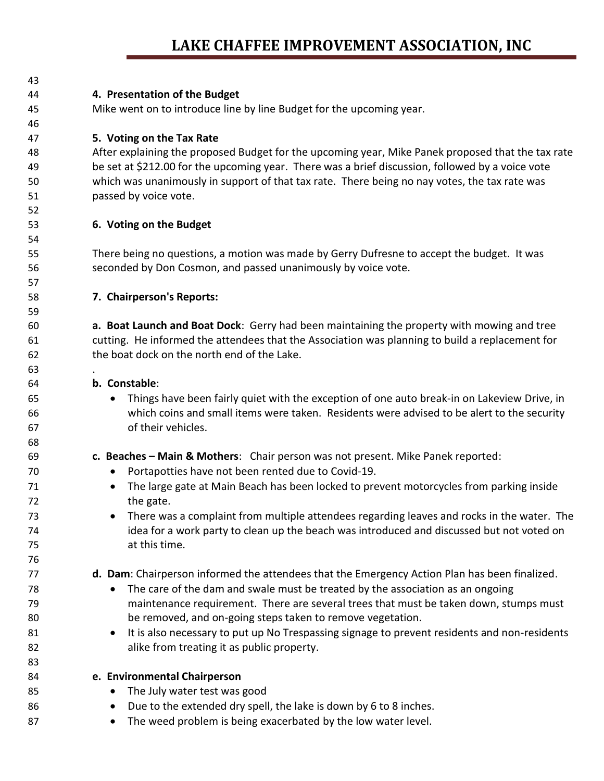| 43 |                                                                                                   |  |  |  |  |
|----|---------------------------------------------------------------------------------------------------|--|--|--|--|
| 44 | 4. Presentation of the Budget                                                                     |  |  |  |  |
| 45 | Mike went on to introduce line by line Budget for the upcoming year.                              |  |  |  |  |
| 46 |                                                                                                   |  |  |  |  |
| 47 | 5. Voting on the Tax Rate                                                                         |  |  |  |  |
| 48 | After explaining the proposed Budget for the upcoming year, Mike Panek proposed that the tax rate |  |  |  |  |
| 49 | be set at \$212.00 for the upcoming year. There was a brief discussion, followed by a voice vote  |  |  |  |  |
| 50 | which was unanimously in support of that tax rate. There being no nay votes, the tax rate was     |  |  |  |  |
| 51 | passed by voice vote.                                                                             |  |  |  |  |
| 52 |                                                                                                   |  |  |  |  |
| 53 | 6. Voting on the Budget                                                                           |  |  |  |  |
| 54 |                                                                                                   |  |  |  |  |
| 55 | There being no questions, a motion was made by Gerry Dufresne to accept the budget. It was        |  |  |  |  |
| 56 | seconded by Don Cosmon, and passed unanimously by voice vote.                                     |  |  |  |  |
| 57 |                                                                                                   |  |  |  |  |
| 58 | 7. Chairperson's Reports:                                                                         |  |  |  |  |
| 59 |                                                                                                   |  |  |  |  |
| 60 | a. Boat Launch and Boat Dock: Gerry had been maintaining the property with mowing and tree        |  |  |  |  |
| 61 | cutting. He informed the attendees that the Association was planning to build a replacement for   |  |  |  |  |
| 62 | the boat dock on the north end of the Lake.                                                       |  |  |  |  |
| 63 |                                                                                                   |  |  |  |  |
| 64 | b. Constable:                                                                                     |  |  |  |  |
| 65 | Things have been fairly quiet with the exception of one auto break-in on Lakeview Drive, in       |  |  |  |  |
| 66 | which coins and small items were taken. Residents were advised to be alert to the security        |  |  |  |  |
| 67 | of their vehicles.                                                                                |  |  |  |  |
| 68 |                                                                                                   |  |  |  |  |
| 69 | c. Beaches - Main & Mothers: Chair person was not present. Mike Panek reported:                   |  |  |  |  |
| 70 | Portapotties have not been rented due to Covid-19.<br>$\bullet$                                   |  |  |  |  |
| 71 | The large gate at Main Beach has been locked to prevent motorcycles from parking inside           |  |  |  |  |
| 72 | the gate.                                                                                         |  |  |  |  |
| 73 | There was a complaint from multiple attendees regarding leaves and rocks in the water. The        |  |  |  |  |
| 74 | idea for a work party to clean up the beach was introduced and discussed but not voted on         |  |  |  |  |
| 75 | at this time.                                                                                     |  |  |  |  |
| 76 |                                                                                                   |  |  |  |  |
| 77 | d. Dam: Chairperson informed the attendees that the Emergency Action Plan has been finalized.     |  |  |  |  |
| 78 | The care of the dam and swale must be treated by the association as an ongoing                    |  |  |  |  |
| 79 | maintenance requirement. There are several trees that must be taken down, stumps must             |  |  |  |  |
| 80 | be removed, and on-going steps taken to remove vegetation.                                        |  |  |  |  |
| 81 | It is also necessary to put up No Trespassing signage to prevent residents and non-residents      |  |  |  |  |
| 82 | alike from treating it as public property.                                                        |  |  |  |  |
| 83 |                                                                                                   |  |  |  |  |
| 84 | e. Environmental Chairperson                                                                      |  |  |  |  |
| 85 | The July water test was good                                                                      |  |  |  |  |
| 86 | Due to the extended dry spell, the lake is down by 6 to 8 inches.<br>$\bullet$                    |  |  |  |  |
| 87 | The weed problem is being exacerbated by the low water level.                                     |  |  |  |  |
|    |                                                                                                   |  |  |  |  |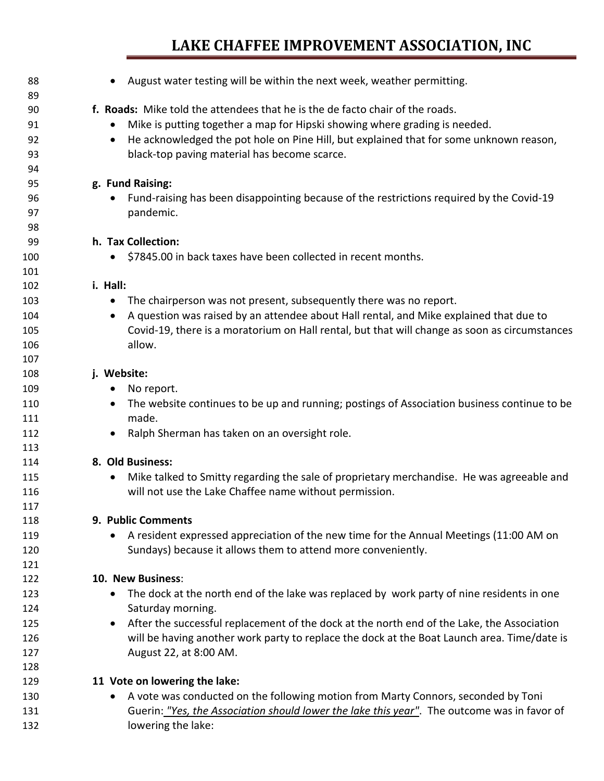| 88  | August water testing will be within the next week, weather permitting.                                   |
|-----|----------------------------------------------------------------------------------------------------------|
| 89  |                                                                                                          |
| 90  | f. Roads: Mike told the attendees that he is the de facto chair of the roads.                            |
| 91  | Mike is putting together a map for Hipski showing where grading is needed.                               |
| 92  | He acknowledged the pot hole on Pine Hill, but explained that for some unknown reason,<br>$\bullet$      |
| 93  | black-top paving material has become scarce.                                                             |
| 94  |                                                                                                          |
| 95  | g. Fund Raising:                                                                                         |
| 96  | Fund-raising has been disappointing because of the restrictions required by the Covid-19<br>$\bullet$    |
| 97  | pandemic.                                                                                                |
| 98  |                                                                                                          |
| 99  | h. Tax Collection:                                                                                       |
| 100 | \$7845.00 in back taxes have been collected in recent months.<br>$\bullet$                               |
| 101 |                                                                                                          |
| 102 | i. Hall:                                                                                                 |
| 103 | The chairperson was not present, subsequently there was no report.                                       |
| 104 | A question was raised by an attendee about Hall rental, and Mike explained that due to                   |
| 105 | Covid-19, there is a moratorium on Hall rental, but that will change as soon as circumstances            |
| 106 | allow.                                                                                                   |
| 107 |                                                                                                          |
| 108 | j. Website:                                                                                              |
| 109 | No report.<br>$\bullet$                                                                                  |
| 110 | The website continues to be up and running; postings of Association business continue to be<br>$\bullet$ |
| 111 | made.                                                                                                    |
| 112 | Ralph Sherman has taken on an oversight role.<br>$\bullet$                                               |
| 113 |                                                                                                          |
| 114 | 8. Old Business:                                                                                         |
| 115 | Mike talked to Smitty regarding the sale of proprietary merchandise. He was agreeable and                |
| 116 | will not use the Lake Chaffee name without permission.                                                   |
| 117 |                                                                                                          |
| 118 | 9. Public Comments                                                                                       |
| 119 | A resident expressed appreciation of the new time for the Annual Meetings (11:00 AM on                   |
| 120 | Sundays) because it allows them to attend more conveniently.                                             |
| 121 |                                                                                                          |
| 122 | 10. New Business:                                                                                        |
| 123 | The dock at the north end of the lake was replaced by work party of nine residents in one<br>٠           |
| 124 | Saturday morning.                                                                                        |
| 125 | After the successful replacement of the dock at the north end of the Lake, the Association<br>$\bullet$  |
| 126 | will be having another work party to replace the dock at the Boat Launch area. Time/date is              |
| 127 | August 22, at 8:00 AM.                                                                                   |
| 128 |                                                                                                          |
| 129 | 11 Vote on lowering the lake:                                                                            |
| 130 | A vote was conducted on the following motion from Marty Connors, seconded by Toni                        |
| 131 | Guerin: "Yes, the Association should lower the lake this year". The outcome was in favor of              |
| 132 | lowering the lake:                                                                                       |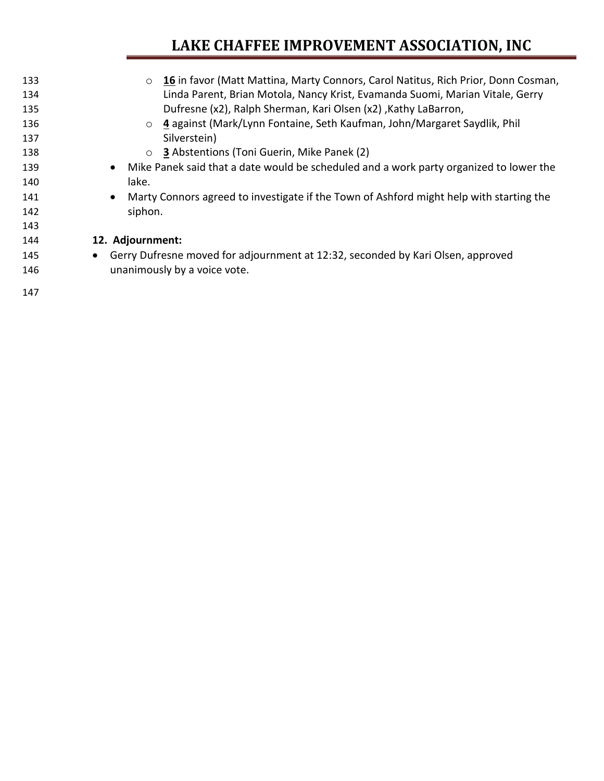| 133<br>134 | 16 in favor (Matt Mattina, Marty Connors, Carol Natitus, Rich Prior, Donn Cosman,<br>$\circ$<br>Linda Parent, Brian Motola, Nancy Krist, Evamanda Suomi, Marian Vitale, Gerry |
|------------|-------------------------------------------------------------------------------------------------------------------------------------------------------------------------------|
| 135        | Dufresne (x2), Ralph Sherman, Kari Olsen (x2), Kathy LaBarron,                                                                                                                |
| 136        | ○ 4 against (Mark/Lynn Fontaine, Seth Kaufman, John/Margaret Saydlik, Phil                                                                                                    |
| 137        | Silverstein)                                                                                                                                                                  |
| 138        | <b>3</b> Abstentions (Toni Guerin, Mike Panek (2)<br>$\circ$                                                                                                                  |
| 139        | Mike Panek said that a date would be scheduled and a work party organized to lower the<br>$\bullet$                                                                           |
| 140        | lake.                                                                                                                                                                         |
| 141        | Marty Connors agreed to investigate if the Town of Ashford might help with starting the<br>$\bullet$                                                                          |
| 142        | siphon.                                                                                                                                                                       |
| 143        |                                                                                                                                                                               |
| 144        | 12. Adjournment:                                                                                                                                                              |
| 145        | Gerry Dufresne moved for adjournment at 12:32, seconded by Kari Olsen, approved<br>$\bullet$                                                                                  |
| 146        | unanimously by a voice vote.                                                                                                                                                  |
| 147        |                                                                                                                                                                               |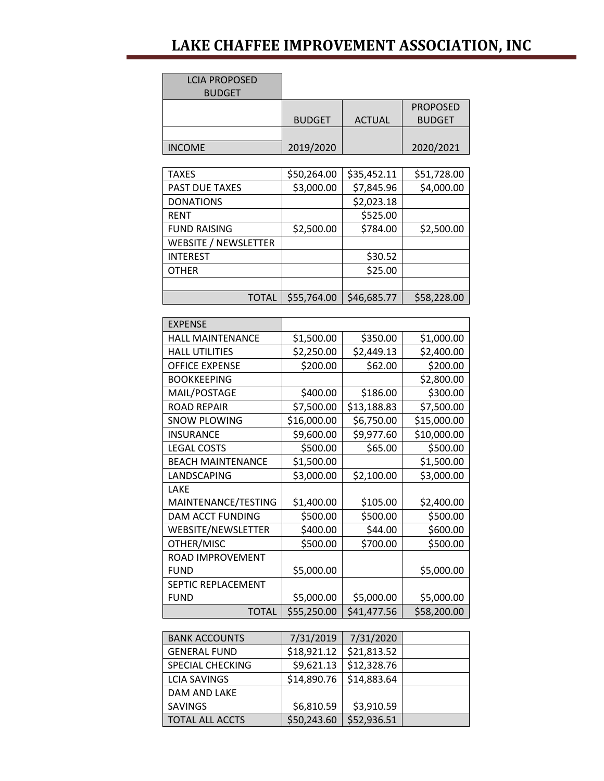| <b>LCIA PROPOSED</b><br><b>BUDGET</b> |               |               |                                  |
|---------------------------------------|---------------|---------------|----------------------------------|
|                                       | <b>BUDGET</b> | <b>ACTUAL</b> | <b>PROPOSED</b><br><b>BUDGET</b> |
| <b>INCOME</b>                         | 2019/2020     |               | 2020/2021                        |
| <b>TAXES</b>                          | \$50,264.00   | \$35,452.11   | \$51,728.00                      |
| PAST DUE TAXES                        | \$3,000.00    | \$7,845.96    | \$4,000.00                       |
| <b>DONATIONS</b>                      |               | \$2,023.18    |                                  |
| <b>RENT</b>                           |               | \$525.00      |                                  |
| <b>FUND RAISING</b>                   | \$2,500.00    | \$784.00      | \$2,500.00                       |
| <b>WEBSITE / NEWSLETTER</b>           |               |               |                                  |
| <b>INTEREST</b>                       |               | \$30.52       |                                  |
| <b>OTHER</b>                          |               | \$25.00       |                                  |
|                                       |               |               |                                  |
| <b>TOTAL</b>                          | \$55,764.00   | \$46,685.77   | \$58,228.00                      |
| <b>EXPENSE</b>                        |               |               |                                  |
| <b>HALL MAINTENANCE</b>               | \$1,500.00    | \$350.00      | \$1,000.00                       |
| <b>HALL UTILITIES</b>                 | \$2,250.00    | \$2,449.13    | \$2,400.00                       |
| <b>OFFICE EXPENSE</b>                 | \$200.00      | \$62.00       | \$200.00                         |
| <b>BOOKKEEPING</b>                    |               |               | \$2,800.00                       |
| MAIL/POSTAGE                          | \$400.00      | \$186.00      | \$300.00                         |
| <b>ROAD REPAIR</b>                    | \$7,500.00    | \$13,188.83   | \$7,500.00                       |
| <b>SNOW PLOWING</b>                   | \$16,000.00   | \$6,750.00    | \$15,000.00                      |
| <b>INSURANCE</b>                      | \$9,600.00    | \$9,977.60    | \$10,000.00                      |
| <b>LEGAL COSTS</b>                    | \$500.00      | \$65.00       | \$500.00                         |
| <b>BEACH MAINTENANCE</b>              | \$1,500.00    |               | \$1,500.00                       |
| LANDSCAPING                           | \$3,000.00    | \$2,100.00    | \$3,000.00                       |
| LAKE                                  |               |               |                                  |
| MAINTENANCE/TESTING                   | \$1,400.00    | \$105.00      | \$2,400.00                       |
| DAM ACCT FUNDING                      | \$500.00      | \$500.00      | \$500.00                         |
| WEBSITE/NEWSLETTER                    | \$400.00      | \$44.00       | \$600.00                         |
| OTHER/MISC                            | \$500.00      | \$700.00      | \$500.00                         |
| ROAD IMPROVEMENT                      |               |               |                                  |
| <b>FUND</b>                           | \$5,000.00    |               | \$5,000.00                       |
| SEPTIC REPLACEMENT                    |               |               |                                  |
| <b>FUND</b>                           | \$5,000.00    | \$5,000.00    | \$5,000.00                       |
| <b>TOTAL</b>                          | \$55,250.00   | \$41,477.56   | \$58,200.00                      |
| <b>BANK ACCOUNTS</b>                  | 7/31/2019     | 7/31/2020     |                                  |
| <b>GENERAL FUND</b>                   | \$18,921.12   | \$21,813.52   |                                  |
| SPECIAL CHECKING                      | \$9,621.13    | \$12,328.76   |                                  |
| <b>LCIA SAVINGS</b>                   | \$14,890.76   | \$14,883.64   |                                  |
| DAM AND LAKE                          |               |               |                                  |
| <b>SAVINGS</b>                        | \$6,810.59    | \$3,910.59    |                                  |
| <b>TOTAL ALL ACCTS</b>                | \$50,243.60   | \$52,936.51   |                                  |